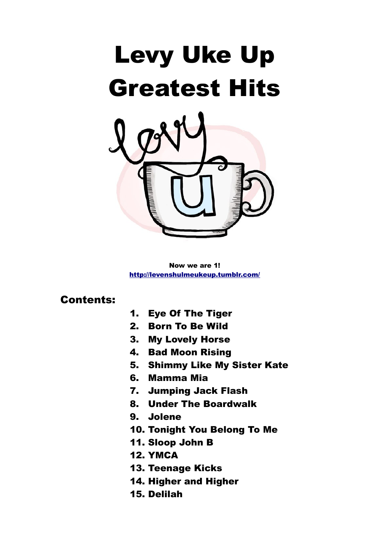# Levy Uke Up Greatest Hits



Now we are 1! <http://levenshulmeukeup.tumblr.com/>

#### Contents:

- 1. Eye Of The Tiger
- 2. Born To Be Wild
- 3. My Lovely Horse
- 4. Bad Moon Rising
- 5. Shimmy Like My Sister Kate
- 6. Mamma Mia
- 7. Jumping Jack Flash
- 8. Under The Boardwalk
- 9. Jolene
- 10. Tonight You Belong To Me
- 11. Sloop John B
- 12. YMCA
- 13. Teenage Kicks
- 14. Higher and Higher
- 15. Delilah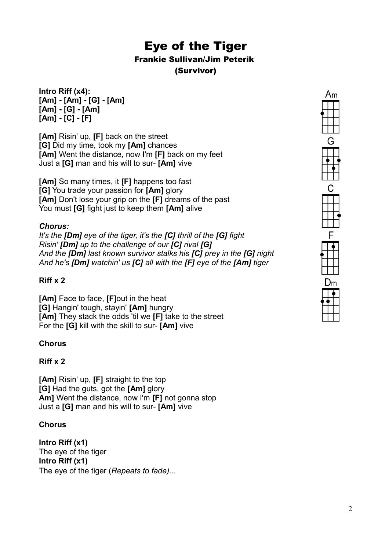### Eye of the Tiger Frankie Sullivan/Jim Peterik (Survivor)

**Intro Riff (x4): [Am] - [Am] - [G] - [Am] [Am] - [G] - [Am] [Am] - [C] - [F]**

**[Am]** Risin' up, **[F]** back on the street **[G]** Did my time, took my **[Am]** chances **[Am]** Went the distance, now I'm **[F]** back on my feet Just a **[G]** man and his will to sur- **[Am]** vive

**[Am]** So many times, it **[F]** happens too fast **[G]** You trade your passion for **[Am]** glory **[Am]** Don't lose your grip on the **[F]** dreams of the past You must **[G]** fight just to keep them **[Am]** alive

#### *Chorus:*

*It's the [Dm] eye of the tiger, it's the [C] thrill of the [G] fight Risin' [Dm] up to the challenge of our [C] rival [G] And the [Dm] last known survivor stalks his [C] prey in the [G] night And he's [Dm] watchin' us [C] all with the [F] eye of the [Am] tiger*

#### **Riff x 2**

**[Am]** Face to face, **[F]**out in the heat **[G]** Hangin' tough, stayin' **[Am]** hungry **[Am]** They stack the odds 'til we **[F]** take to the street For the **[G]** kill with the skill to sur- **[Am]** vive

#### **Chorus**

#### **Riff x 2**

**[Am]** Risin' up, **[F]** straight to the top **[G]** Had the guts, got the **[Am]** glory **Am]** Went the distance, now I'm **[F]** not gonna stop Just a **[G]** man and his will to sur- **[Am]** vive

#### **Chorus**

**Intro Riff (x1)** The eye of the tiger **Intro Riff (x1)** The eye of the tiger (*Repeats to fade)*...

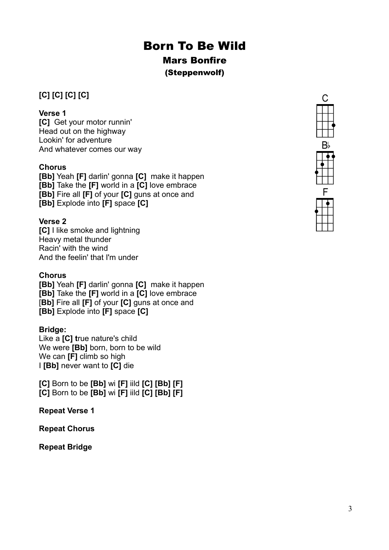## Born To Be Wild

Mars Bonfire

(Steppenwolf)

#### **[C] [C] [C] [C]**

#### **Verse 1**

**[C]** Get your motor runnin' Head out on the highway Lookin' for adventure And whatever comes our way

#### **Chorus**

**[Bb]** Yeah **[F]** darlin' gonna **[C]** make it happen **[Bb]** Take the **[F]** world in a **[C]** love embrace **[Bb]** Fire all **[F]** of your **[C]** guns at once and **[Bb]** Explode into **[F]** space **[C]**

#### **Verse 2**

**[C]** I like smoke and lightning Heavy metal thunder Racin' with the wind And the feelin' that I'm under

#### **Chorus**

**[Bb]** Yeah **[F]** darlin' gonna **[C]** make it happen **[Bb]** Take the **[F]** world in a **[C]** love embrace [**Bb]** Fire all **[F]** of your **[C]** guns at once and **[Bb]** Explode into **[F]** space **[C]** 

#### **Bridge:**

Like a **[C] t**rue nature's child We were **[Bb]** born, born to be wild We can **[F]** climb so high I **[Bb]** never want to **[C]** die

**[C]** Born to be **[Bb]** wi **[F]** iild **[C] [Bb] [F] [C]** Born to be **[Bb]** wi **[F]** iild **[C] [Bb] [F]**

**Repeat Verse 1**

**Repeat Chorus**

**Repeat Bridge**

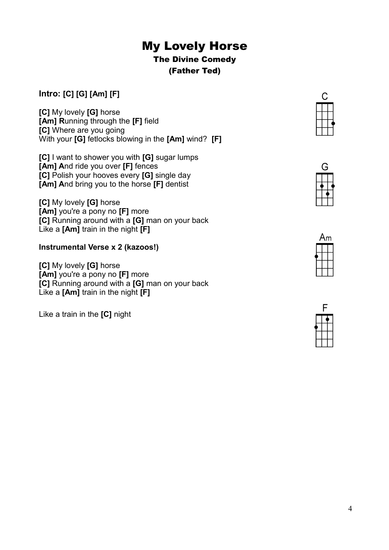## My Lovely Horse

#### The Divine Comedy (Father Ted)

#### **Intro: [C] [G] [Am] [F]**

**[C]** My lovely **[G]** horse **[Am] R**unning through the **[F]** field **[C]** Where are you going With your **[G]** fetlocks blowing in the **[Am]** wind? **[F]**

**[C]** I want to shower you with **[G]** sugar lumps **[Am] A**nd ride you over **[F]** fences **[C]** Polish your hooves every **[G]** single day **[Am] A**nd bring you to the horse **[F]** dentist

**[C]** My lovely **[G]** horse **[Am]** you're a pony no **[F]** more **[C]** Running around with a **[G]** man on your back Like a **[Am]** train in the night **[F]**

#### **Instrumental Verse x 2 (kazoos!)**

**[C]** My lovely **[G]** horse **[Am]** you're a pony no **[F]** more **[C]** Running around with a **[G]** man on your back Like a **[Am]** train in the night **[F]**

Like a train in the **[C]** night



|  | ۱m |  |
|--|----|--|
|  |    |  |
|  |    |  |
|  |    |  |
|  |    |  |

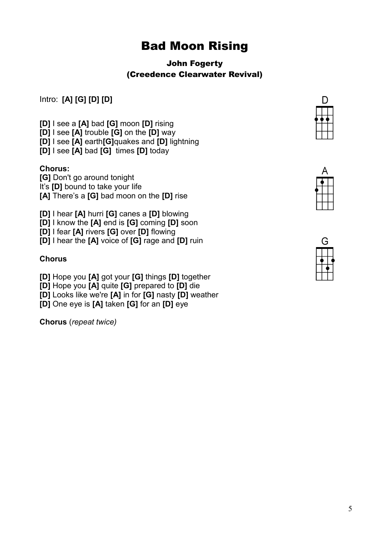## Bad Moon Rising

#### John Fogerty (Creedence Clearwater Revival)

Intro: **[A] [G] [D] [D]**

**[D]** I see a **[A]** bad **[G]** moon **[D]** rising

**[D]** I see **[A]** trouble **[G]** on the **[D]** way

**[D]** I see **[A]** earth**[G]**quakes and **[D]** lightning

**[D]** I see **[A]** bad **[G]** times **[D]** today

#### **Chorus:**

**[G]** Don't go around tonight It's **[D]** bound to take your life **[A]** There's a **[G]** bad moon on the **[D]** rise

**[D]** I hear **[A]** hurri **[G]** canes a **[D]** blowing

**[D]** I know the **[A]** end is **[G]** coming **[D]** soon

**[D]** I fear **[A]** rivers **[G]** over **[D]** flowing

**[D]** I hear the **[A]** voice of **[G]** rage and **[D]** ruin

#### **Chorus**

**[D]** Hope you **[A]** got your **[G]** things **[D]** together

**[D]** Hope you **[A]** quite **[G]** prepared to **[D]** die

**[D]** Looks like we're **[A]** in for **[G]** nasty **[D]** weather

**[D]** One eye is **[A]** taken **[G]** for an **[D]** eye

**Chorus** (*repeat twice)*



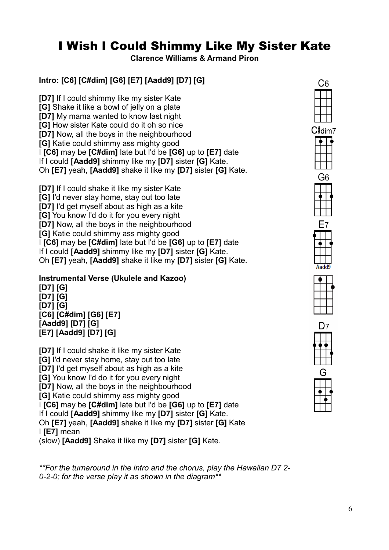## I Wish I Could Shimmy Like My Sister Kate

**Clarence Williams & Armand Piron**



(slow) **[Aadd9]** Shake it like my **[D7]** sister **[G]** Kate.

*\*\*For the turnaround in the intro and the chorus, play the Hawaiian D7 2- 0-2-0; for the verse play it as shown in the diagram\*\**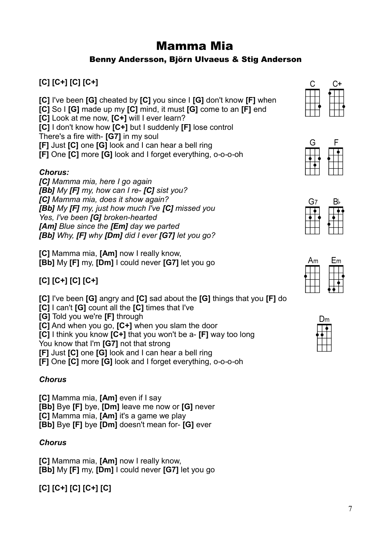## Mamma Mia

#### Benny Andersson, Björn Ulvaeus & Stig Anderson

#### **[C] [C+] [C] [C+]**

**[C]** I've been **[G]** cheated by **[C]** you since I **[G]** don't know **[F]** when **[C]** So I **[G]** made up my **[C]** mind, it must **[G]** come to an **[F]** end **[C]** Look at me now, **[C+]** will I ever learn? **[C]** I don't know how **[C+]** but I suddenly **[F]** lose control There's a fire with- **[G7]** in my soul **[F]** Just **[C]** one **[G]** look and I can hear a bell ring **[F]** One **[C]** more **[G]** look and I forget everything, o-o-o-oh

#### *Chorus:*

*[C] Mamma mia, here I go again [Bb] My [F] my, how can I re- [C] sist you? [C] Mamma mia, does it show again? [Bb] My [F] my, just how much I've [C] missed you Yes, I've been [G] broken-hearted [Am] Blue since the [Em] day we parted [Bb] Why, [F] why [Dm] did I ever [G7] let you go?*

**[C]** Mamma mia, **[Am]** now I really know, **[Bb]** My **[F]** my, **[Dm]** I could never **[G7]** let you go

#### **[C] [C+] [C] [C+]**

**[C]** I've been **[G]** angry and **[C]** sad about the **[G]** things that you **[F]** do

**[C]** I can't **[G]** count all the **[C]** times that I've

**[G]** Told you we're **[F]** through

**[C]** And when you go, **[C+]** when you slam the door

**[C]** I think you know **[C+]** that you won't be a- **[F]** way too long

You know that I'm **[G7]** not that strong

**[F]** Just **[C]** one **[G]** look and I can hear a bell ring

**[F]** One **[C]** more **[G]** look and I forget everything, o-o-o-oh

#### *Chorus*

**[C]** Mamma mia, **[Am]** even if I say **[Bb]** Bye **[F]** bye, **[Dm]** leave me now or **[G]** never **[C]** Mamma mia, **[Am]** it's a game we play **[Bb]** Bye **[F]** bye **[Dm]** doesn't mean for- **[G]** ever

#### *Chorus*

**[C]** Mamma mia, **[Am]** now I really know, **[Bb]** My **[F]** my, **[Dm]** I could never **[G7]** let you go

**[C] [C+] [C] [C+] [C]**



| G |  |  | c |  |  |  |
|---|--|--|---|--|--|--|
|   |  |  |   |  |  |  |
|   |  |  |   |  |  |  |
|   |  |  |   |  |  |  |
|   |  |  |   |  |  |  |



| Am | Em |
|----|----|
|    |    |
|    |    |

| ١m |  |  |  |  |  |
|----|--|--|--|--|--|
|    |  |  |  |  |  |
|    |  |  |  |  |  |
|    |  |  |  |  |  |
|    |  |  |  |  |  |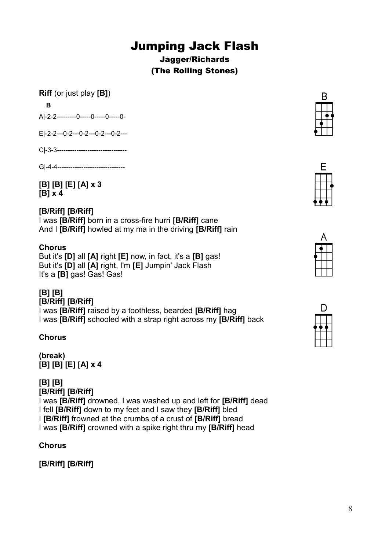## Jumping Jack Flash

#### Jagger/Richards (The Rolling Stones)

**Riff** (or just play **[B]**)

 **B** A|-2-2---------0-----0-----0-----0-

E|-2-2---0-2---0-2---0-2---0-2---

C|-3-3--------------------------------

G|-4-4-------------------------------

**[B] [B] [E] [A] x 3 [B] x 4**

#### **[B/Riff] [B/Riff]**

I was **[B/Riff]** born in a cross-fire hurri **[B/Riff]** cane And I **[B/Riff]** howled at my ma in the driving **[B/Riff]** rain

#### **Chorus**

But it's **[D]** all **[A]** right **[E]** now, in fact, it's a **[B]** gas! But it's **[D]** all **[A]** right, I'm **[E]** Jumpin' Jack Flash It's a **[B]** gas! Gas! Gas!

#### **[B] [B] [B/Riff] [B/Riff]**

I was **[B/Riff]** raised by a toothless, bearded **[B/Riff]** hag I was **[B/Riff]** schooled with a strap right across my **[B/Riff]** back

**Chorus**

**(break) [B] [B] [E] [A] x 4**

#### **[B] [B] [B/Riff] [B/Riff]**

I was **[B/Riff]** drowned, I was washed up and left for **[B/Riff]** dead I fell **[B/Riff]** down to my feet and I saw they **[B/Riff]** bled I **[B/Riff]** frowned at the crumbs of a crust of **[B/Riff]** bread I was **[B/Riff]** crowned with a spike right thru my **[B/Riff]** head

**Chorus**

**[B/Riff] [B/Riff]**



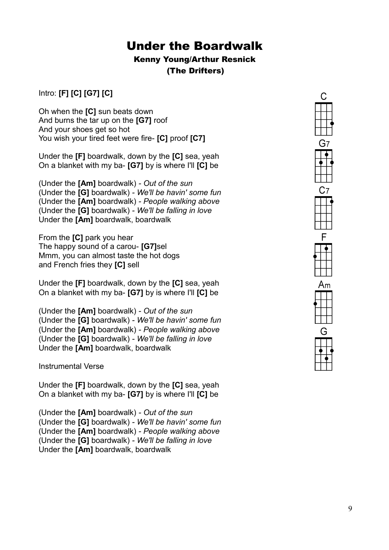## Under the Boardwalk

#### Kenny Young/Arthur Resnick (The Drifters)

Intro: **[F] [C] [G7] [C]**

Oh when the **[C]** sun beats down And burns the tar up on the **[G7]** roof And your shoes get so hot You wish your tired feet were fire- **[C]** proof **[C7]**

Under the **[F]** boardwalk, down by the **[C]** sea, yeah On a blanket with my ba- **[G7]** by is where I'll **[C]** be

(Under the **[Am]** boardwalk) *- Out of the sun* (Under the **[G]** boardwalk) *- We'll be havin' some fun* (Under the **[Am]** boardwalk) *- People walking above* (Under the **[G]** boardwalk) *- We'll be falling in love* Under the **[Am]** boardwalk, boardwalk

From the **[C]** park you hear The happy sound of a carou- **[G7]**sel Mmm, you can almost taste the hot dogs and French fries they **[C]** sell

Under the **[F]** boardwalk, down by the **[C]** sea, yeah On a blanket with my ba- **[G7]** by is where I'll **[C]** be

(Under the **[Am]** boardwalk) *- Out of the sun* (Under the **[G]** boardwalk) *- We'll be havin' some fun* (Under the **[Am]** boardwalk) *- People walking above* (Under the **[G]** boardwalk) *- We'll be falling in love* Under the **[Am]** boardwalk, boardwalk

Instrumental Verse

Under the **[F]** boardwalk, down by the **[C]** sea, yeah On a blanket with my ba- **[G7]** by is where I'll **[C]** be

(Under the **[Am]** boardwalk) *- Out of the sun* (Under the **[G]** boardwalk) *- We'll be havin' some fun* (Under the **[Am]** boardwalk) *- People walking above* (Under the **[G]** boardwalk) *- We'll be falling in love* Under the **[Am]** boardwalk, boardwalk

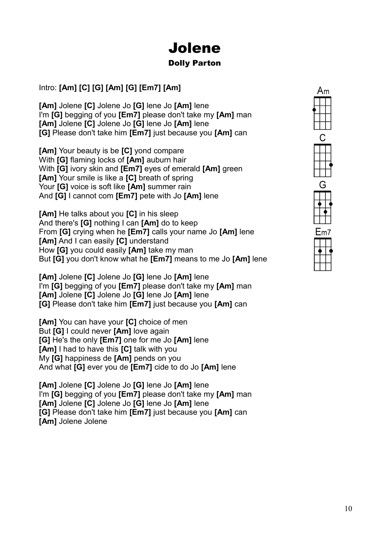## Jolene

#### Dolly Parton

#### Intro: **[Am] [C] [G] [Am] [G] [Em7] [Am]**

**[Am]** Jolene **[C]** Jolene Jo **[G]** lene Jo **[Am]** lene I'm **[G]** begging of you **[Em7]** please don't take my **[Am]** man **[Am]** Jolene **[C]** Jolene Jo **[G]** lene Jo **[Am]** lene **[G]** Please don't take him **[Em7]** just because you **[Am]** can

**[Am]** Your beauty is be **[C]** yond compare With **[G]** flaming locks of **[Am]** auburn hair With **[G]** ivory skin and **[Em7]** eyes of emerald **[Am]** green **[Am]** Your smile is like a **[C]** breath of spring Your **[G]** voice is soft like **[Am]** summer rain And **[G]** I cannot com **[Em7]** pete with Jo **[Am]** lene

**[Am]** He talks about you **[C]** in his sleep And there's **[G]** nothing I can **[Am]** do to keep From **[G]** crying when he **[Em7]** calls your name Jo **[Am]** lene **[Am]** And I can easily **[C]** understand How **[G]** you could easily **[Am]** take my man But **[G]** you don't know what he **[Em7]** means to me Jo **[Am]** lene

**[Am]** Jolene **[C]** Jolene Jo **[G]** lene Jo **[Am]** lene I'm **[G]** begging of you **[Em7]** please don't take my **[Am]** man **[Am]** Jolene **[C]** Jolene Jo **[G]** lene Jo **[Am]** lene **[G]** Please don't take him **[Em7]** just because you **[Am]** can

**[Am]** You can have your **[C]** choice of men But **[G]** I could never **[Am]** love again **[G]** He's the only **[Em7]** one for me Jo **[Am]** lene **[Am]** I had to have this **[C]** talk with you My **[G]** happiness de **[Am]** pends on you And what **[G]** ever you de **[Em7]** cide to do Jo **[Am]** lene

**[Am]** Jolene **[C]** Jolene Jo **[G]** lene Jo **[Am]** lene I'm **[G]** begging of you **[Em7]** please don't take my **[Am]** man **[Am]** Jolene **[C]** Jolene Jo **[G]** lene Jo **[Am]** lene **[G]** Please don't take him **[Em7]** just because you **[Am]** can **[Am]** Jolene Jolene

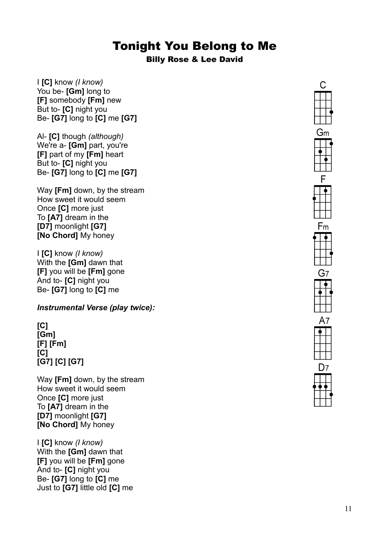## Tonight You Belong to Me

### Billy Rose & Lee David

| I [C] know (I know)<br>You be- [Gm] long to<br>[F] somebody [Fm] new<br>But to- [C] night you<br>Be- $[G7]$ long to $[G]$ me $[G7]$                    |                      |
|--------------------------------------------------------------------------------------------------------------------------------------------------------|----------------------|
| Al- [C] though (although)<br>We're a- [Gm] part, you're<br>[F] part of my [Fm] heart<br>But to- [C] night you<br>Be- $[G7]$ long to $[G]$ me $[G7]$    | Gm                   |
| Way [Fm] down, by the stream<br>How sweet it would seem<br>Once [C] more just<br>To [A7] dream in the<br>[D7] moonlight [G7]<br>[No Chord] My honey    | Fm                   |
| $\lfloor C \rfloor$ know ( <i>l know</i> )<br>With the [Gm] dawn that<br>[F] you will be [Fm] gone<br>And to- [C] night you<br>Be- [G7] long to [C] me | G7                   |
| Instrumental Verse (play twice):                                                                                                                       |                      |
| [C]<br>[Gm]<br>$[F]$ [Fm]<br>[C]<br>[G7] [C] [G7]                                                                                                      | Α7<br>D <sub>7</sub> |
| Way [Fm] down, by the stream<br>How sweet it would seem<br>Once [C] more just<br>To [A7] dream in the<br>[D7] moonlight [G7]<br>[No Chord] My honey    |                      |
| $\lfloor C \rfloor$ know ( <i>l know</i> )<br>With the [Gm] dawn that<br>[F] you will be [Fm] gone<br>And to- [C] night you                            |                      |

Be- **[G7]** long to **[C]** me Just to **[G7]** little old **[C]** me

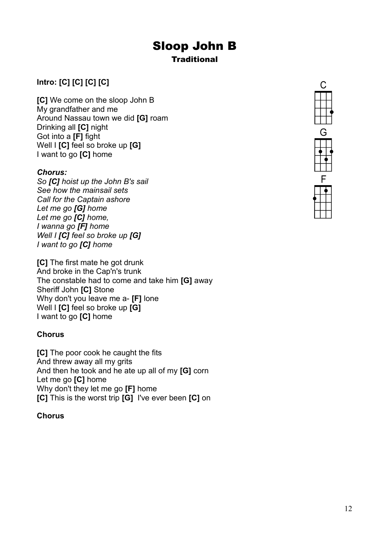#### Sloop John B **Traditional**

#### **Intro: [C] [C] [C] [C]**

**[C]** We come on the sloop John B My grandfather and me Around Nassau town we did **[G]** roam Drinking all **[C]** night Got into a **[F]** fight Well I **[C]** feel so broke up **[G]** I want to go **[C]** home

#### *Chorus:*

*So [C] hoist up the John B's sail See how the mainsail sets Call for the Captain ashore Let me go [G] home Let me go [C] home, I wanna go [F] home Well I [C] feel so broke up [G] I want to go [C] home* 

**[C]** The first mate he got drunk And broke in the Cap'n's trunk The constable had to come and take him **[G]** away Sheriff John **[C]** Stone Why don't you leave me a- **[F]** lone Well I **[C]** feel so broke up **[G]** I want to go **[C]** home

#### **Chorus**

**[C]** The poor cook he caught the fits And threw away all my grits And then he took and he ate up all of my **[G]** corn Let me go **[C]** home Why don't they let me go **[F]** home **[C]** This is the worst trip **[G]** I've ever been **[C]** on

#### **Chorus**

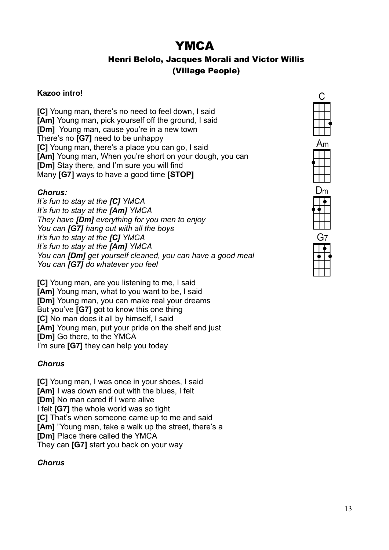## YMCA

#### Henri Belolo, Jacques Morali and Victor Willis (Village People)

#### **Kazoo intro!**

**[C]** Young man, there's no need to feel down, I said **[Am]** Young man, pick yourself off the ground, I said **[Dm]** Young man, cause you're in a new town There's no **[G7]** need to be unhappy **[C]** Young man, there's a place you can go, I said **[Am]** Young man, When you're short on your dough, you can **[Dm]** Stay there, and I'm sure you will find Many **[G7]** ways to have a good time **[STOP]**

#### *Chorus:*

*It's fun to stay at the [C] YMCA It's fun to stay at the [Am] YMCA They have [Dm] everything for you men to enjoy You can [G7] hang out with all the boys It's fun to stay at the [C] YMCA It's fun to stay at the [Am] YMCA You can [Dm] get yourself cleaned, you can have a good meal You can [G7] do whatever you feel*

**[C]** Young man, are you listening to me, I said **[Am]** Young man, what to you want to be, I said **[Dm]** Young man, you can make real your dreams But you've **[G7]** got to know this one thing **[C]** No man does it all by himself, I said **[Am]** Young man, put your pride on the shelf and just **[Dm]** Go there, to the YMCA I'm sure **[G7]** they can help you today

#### *Chorus*

**[C]** Young man, I was once in your shoes, I said **[Am]** I was down and out with the blues, I felt **[Dm]** No man cared if I were alive I felt **[G7]** the whole world was so tight **[C]** That's when someone came up to me and said **[Am]** "Young man, take a walk up the street, there's a **[Dm]** Place there called the YMCA They can **[G7]** start you back on your way

#### *Chorus*

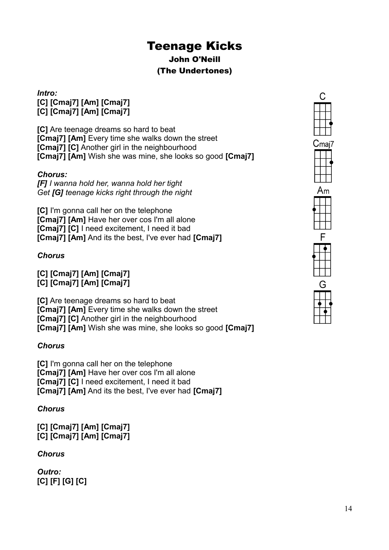#### Teenage Kicks John O'Neill

## (The Undertones)

*Intro:* **[C] [Cmaj7] [Am] [Cmaj7] [C] [Cmaj7] [Am] [Cmaj7]**

**[C]** Are teenage dreams so hard to beat **[Cmaj7] [Am]** Every time she walks down the street **[Cmaj7] [C]** Another girl in the neighbourhood **[Cmaj7] [Am]** Wish she was mine, she looks so good **[Cmaj7]**

#### *Chorus:*

*[F] I wanna hold her, wanna hold her tight Get [G] teenage kicks right through the night*

**[C]** I'm gonna call her on the telephone **[Cmaj7] [Am]** Have her over cos I'm all alone **[Cmaj7] [C]** I need excitement, I need it bad **[Cmaj7] [Am]** And its the best, I've ever had **[Cmaj7]**

#### *Chorus*

**[C] [Cmaj7] [Am] [Cmaj7] [C] [Cmaj7] [Am] [Cmaj7]**

**[C]** Are teenage dreams so hard to beat **[Cmaj7] [Am]** Every time she walks down the street **[Cmaj7] [C]** Another girl in the neighbourhood **[Cmaj7] [Am]** Wish she was mine, she looks so good **[Cmaj7]**

#### *Chorus*

**[C]** I'm gonna call her on the telephone **[Cmaj7] [Am]** Have her over cos I'm all alone **[Cmaj7] [C]** I need excitement, I need it bad **[Cmaj7] [Am]** And its the best, I've ever had **[Cmaj7]**

#### *Chorus*

**[C] [Cmaj7] [Am] [Cmaj7] [C] [Cmaj7] [Am] [Cmaj7]**

#### *Chorus*

*Outro:* **[C] [F] [G] [C]**

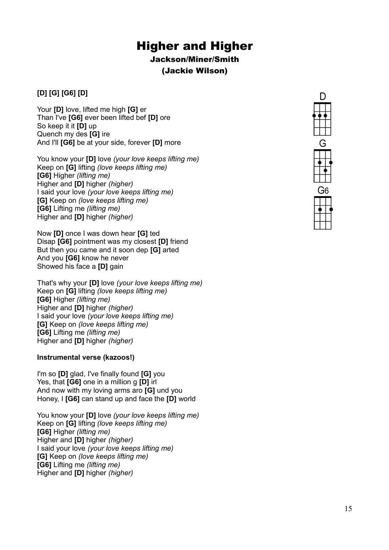## Higher and Higher

#### Jackson/Miner/Smith (Jackie Wilson)

#### **[D] [G] [G6] [D]**

Your **[D]** love, lifted me high **[G]** er Than I've **[G6]** ever been lifted bef **[D]** ore So keep it it **[D]** up Quench my des **[G]** ire And I'll **[G6]** be at your side, forever **[D]** more

You know your **[D]** love *(your love keeps lifting me)*  Keep on **[G]** lifting *(love keeps lifting me)*  **[G6]** Higher *(lifting me)*  Higher and **[D]** higher *(higher)*  I said your love *(your love keeps lifting me)*  **[G]** Keep on *(love keeps lifting me)*  **[G6]** Lifting me *(lifting me)*  Higher and **[D]** higher *(higher)* 

Now **[D]** once I was down hear **[G]** ted Disap **[G6]** pointment was my closest **[D]** friend But then you came and it soon dep **[G]** arted And you **[G6]** know he never Showed his face a **[D]** gain

That's why your **[D]** love *(your love keeps lifting me)*  Keep on **[G]** lifting *(love keeps lifting me)*  **[G6]** Higher *(lifting me)* Higher and **[D]** higher *(higher)*  I said your love *(your love keeps lifting me)*  **[G]** Keep on *(love keeps lifting me)*  **[G6]** Lifting me *(lifting me)* Higher and **[D]** higher *(higher)* 

#### **Instrumental verse (kazoos!)**

I'm so **[D]** glad, I've finally found **[G]** you Yes, that **[G6]** one in a million g **[D]** irl And now with my loving arms aro **[G]** und you Honey, I **[G6]** can stand up and face the **[D]** world

You know your **[D]** love *(your love keeps lifting me)*  Keep on **[G]** lifting *(love keeps lifting me)*  **[G6]** Higher *(lifting me)*  Higher and **[D]** higher *(higher)*  I said your love *(your love keeps lifting me)*  **[G]** Keep on *(love keeps lifting me)*  **[G6]** Lifting me *(lifting me)*  Higher and **[D]** higher *(higher)*